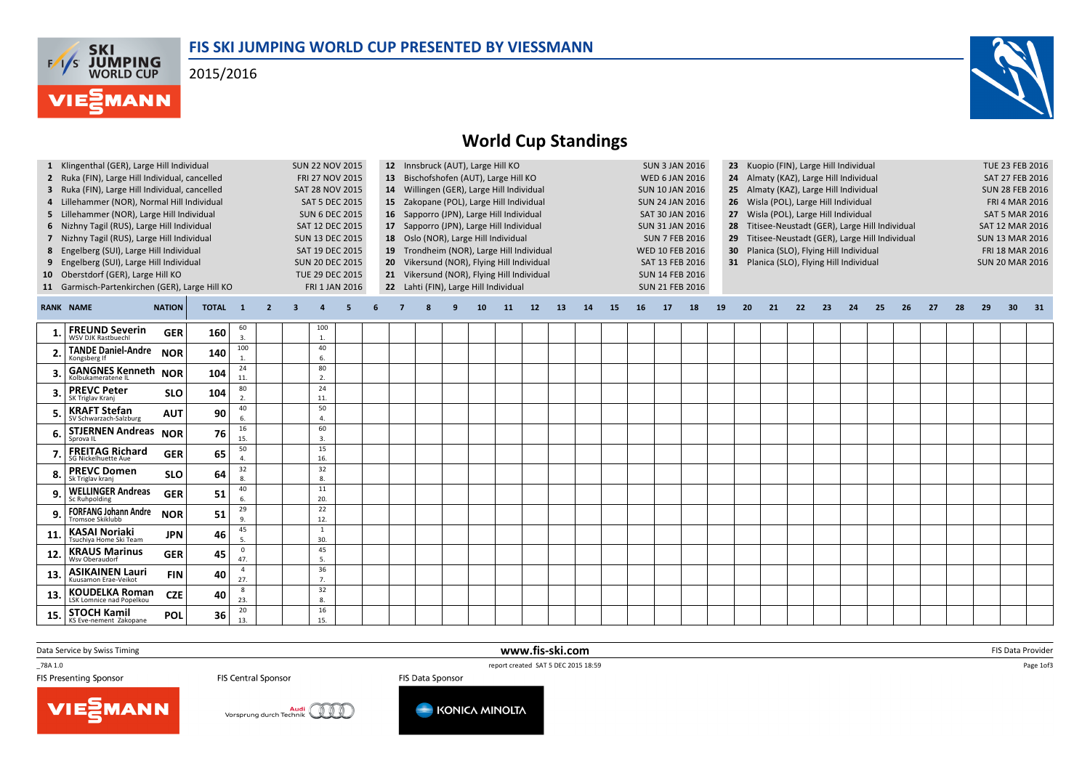## FIS SKI JUMPING WORLD CUP PRESENTED BY VIESSMANN

2015/2016





## World Cup Standings

| Oberstdorf (GER), Large Hill KO<br>21 Vikersund (NOR), Flying Hill Individual<br>TUE 29 DEC 2015<br><b>SUN 14 FEB 2016</b><br>10<br>22 Lahti (FIN), Large Hill Individual<br>11 Garmisch-Partenkirchen (GER), Large Hill KO<br>FRI 1 JAN 2016<br><b>SUN 21 FEB 2016</b><br><b>RANK NAME</b><br><b>NATION</b><br><b>TOTAL</b><br>14<br>18<br>20<br>23<br>24<br>25<br>26<br>27<br>28<br>29<br>30 <sup>2</sup><br>$\blacksquare$ 1<br>$\overline{2}$<br>12<br>13<br>15<br>16<br>17<br>19<br>21<br>22<br>3<br>5<br>q<br>10 <sup>°</sup><br>11<br>60<br>100 |    |
|--------------------------------------------------------------------------------------------------------------------------------------------------------------------------------------------------------------------------------------------------------------------------------------------------------------------------------------------------------------------------------------------------------------------------------------------------------------------------------------------------------------------------------------------------------|----|
|                                                                                                                                                                                                                                                                                                                                                                                                                                                                                                                                                        |    |
|                                                                                                                                                                                                                                                                                                                                                                                                                                                                                                                                                        | 31 |
| <b>FREUND Severin</b><br>WSV DJK Rastbuechl<br><b>GER</b><br>160<br>3.<br>1.                                                                                                                                                                                                                                                                                                                                                                                                                                                                           |    |
| 100<br>40<br><b>TANDE Daniel-Andre</b><br><b>NOR</b><br>140<br>6.<br>Kongsberg If                                                                                                                                                                                                                                                                                                                                                                                                                                                                      |    |
| 24<br>80<br><b>GANGNES Kenneth</b><br><b>NOR</b><br>104<br>11.<br>2.<br>Kolbukameratene II                                                                                                                                                                                                                                                                                                                                                                                                                                                             |    |
| 24<br>80<br><b>PREVC Peter</b><br>104<br><b>SLO</b><br>2.<br>11.<br>SK Triglav Kranj                                                                                                                                                                                                                                                                                                                                                                                                                                                                   |    |
| 40<br>50<br><b>KRAFT Stefan</b><br>90<br><b>AUT</b><br>SV Schwarzach-Salzburg<br>6.<br>4.                                                                                                                                                                                                                                                                                                                                                                                                                                                              |    |
| 16<br>60<br><b>STJERNEN Andreas</b><br>76<br><b>NOR</b><br>15.<br>3.<br>Sprova IL                                                                                                                                                                                                                                                                                                                                                                                                                                                                      |    |
| 50<br>15<br><b>FREITAG Richard</b><br>65<br><b>GER</b><br>16.<br><b>SG Nickelhuette Aue</b><br>$\Delta$                                                                                                                                                                                                                                                                                                                                                                                                                                                |    |
| 32<br>32<br><b>PREVC Domen</b><br><b>SLO</b><br>64<br>8.<br>8.<br>Sk Triglav krani                                                                                                                                                                                                                                                                                                                                                                                                                                                                     |    |
| 40<br>11<br><b>WELLINGER Andreas</b><br><b>GER</b><br>51<br>6.<br>20.<br>Sc Ruhpolding                                                                                                                                                                                                                                                                                                                                                                                                                                                                 |    |
| 29<br>22<br><b>FORFANG Johann Andre</b><br>51<br><b>NOR</b><br>12.<br>9.<br>Tromsoe Skiklubb                                                                                                                                                                                                                                                                                                                                                                                                                                                           |    |
| 45<br>$\,1\,$<br><b>KASAI Noriaki</b><br>Tsuchiya Home Ski Team<br>46<br><b>JPN</b><br>11<br>5.<br>30.                                                                                                                                                                                                                                                                                                                                                                                                                                                 |    |
| $\mathbf 0$<br>45<br><b>KRAUS Marinus</b><br>45<br><b>GER</b><br>12.<br>47.<br>5.<br>Wsv Oberaudorf                                                                                                                                                                                                                                                                                                                                                                                                                                                    |    |
| 36<br>$\overline{4}$<br><b>ASIKAINEN Lauri</b><br><b>FIN</b><br>40<br>13.<br>27.<br>7.<br>Kuusamon Erae-Veikot                                                                                                                                                                                                                                                                                                                                                                                                                                         |    |
| 8<br>32<br><b>KOUDELKA Roman</b><br><b>CZE</b><br>40<br>13.<br>23.<br>8.<br>LSK Lomnice nad Popelkou                                                                                                                                                                                                                                                                                                                                                                                                                                                   |    |
| 20<br>16<br><b>STOCH Kamil</b><br>36<br><b>POL</b><br>15.<br>13.<br>15.<br>KS Eve-nement Zakopane                                                                                                                                                                                                                                                                                                                                                                                                                                                      |    |

www.fis-ski.com

Data Service by Swiss Timing

\_78A 1.0

FIS Presenting Sponsor

FIS Central Sponsor

 report created SAT 5 DEC 2015 18:59 FIS Data Sponsor

m FIS Data Provider<br>E<sup>1950</sup> Provider

Page 1of3

VIESMANN



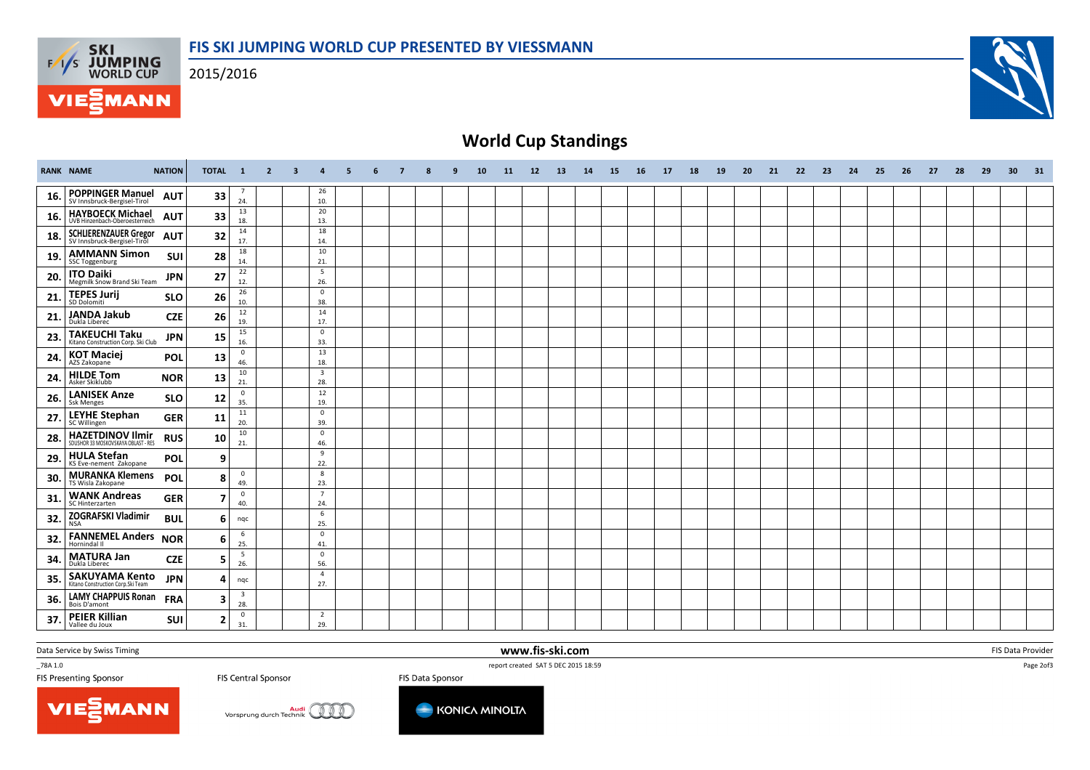

2015/2016





## World Cup Standings

|     | <b>RANK NAME</b>                                           | <b>NATION</b> | TOTAL 1 |                                   | $\overline{2}$ | $\overline{\mathbf{3}}$ | $\boldsymbol{4}$               | 5 | 6 | -7 | q | 10 | 11 | 12 | 13 | 14 | 15 | <b>16</b> | <b>17</b> | <b>18</b> | <b>19</b> | 20 | 21 | 22 | 23 | 24 | 25 | 26 | 27 | 28 | 29 | 30 | 31 |
|-----|------------------------------------------------------------|---------------|---------|-----------------------------------|----------------|-------------------------|--------------------------------|---|---|----|---|----|----|----|----|----|----|-----------|-----------|-----------|-----------|----|----|----|----|----|----|----|----|----|----|----|----|
| 16. | <b>POPPINGER Manuel</b><br>SV Innsbruck-Bergisel-Tirol     | <b>AUT</b>    | 33      | $\overline{7}$<br>24.             |                |                         | 26<br>10.                      |   |   |    |   |    |    |    |    |    |    |           |           |           |           |    |    |    |    |    |    |    |    |    |    |    |    |
| 16. | <b>HAYBOECK Michael</b><br>UVB Hinzenbach-Oberoesterreich  | <b>AUT</b>    | 33      | 13<br>18.                         |                |                         | 20<br>13.                      |   |   |    |   |    |    |    |    |    |    |           |           |           |           |    |    |    |    |    |    |    |    |    |    |    |    |
| 18. | SCHLIERENZAUER Gregor                                      | <b>AUT</b>    | 32      | 14<br>17.                         |                |                         | 18<br>14.                      |   |   |    |   |    |    |    |    |    |    |           |           |           |           |    |    |    |    |    |    |    |    |    |    |    |    |
| 19. | <b>AMMANN Simon</b><br><b>SSC Toggenburg</b>               | <b>SUI</b>    | 28      | 18<br>14.                         |                |                         | 10<br>21.                      |   |   |    |   |    |    |    |    |    |    |           |           |           |           |    |    |    |    |    |    |    |    |    |    |    |    |
| 20. | <b>ITO Daiki</b><br>Megmilk Snow Brand Ski Team            | <b>JPN</b>    | 27      | 22<br>12.                         |                |                         | 5<br>26.                       |   |   |    |   |    |    |    |    |    |    |           |           |           |           |    |    |    |    |    |    |    |    |    |    |    |    |
| 21. | <b>TEPES Jurij</b><br>SD Dolomiti                          | <b>SLO</b>    | 26      | 26<br>10.                         |                |                         | $\mathbf 0$<br>38.             |   |   |    |   |    |    |    |    |    |    |           |           |           |           |    |    |    |    |    |    |    |    |    |    |    |    |
| 21  | <b>JANDA Jakub</b><br>Dukla Liberec                        | <b>CZE</b>    | 26      | 12<br>19.                         |                |                         | 14<br>17.                      |   |   |    |   |    |    |    |    |    |    |           |           |           |           |    |    |    |    |    |    |    |    |    |    |    |    |
| 23. | <b>TAKEUCHI Taku</b><br>Kitano Construction Corp. Ski Club | <b>JPN</b>    | 15      | 15<br>16.                         |                |                         | $^{\circ}$<br>33.              |   |   |    |   |    |    |    |    |    |    |           |           |           |           |    |    |    |    |    |    |    |    |    |    |    |    |
| 24. | <b>KOT Maciej</b><br>AZS Zakopane                          | <b>POL</b>    | 13      | $\mathbf 0$<br>46.                |                |                         | 13<br>18.                      |   |   |    |   |    |    |    |    |    |    |           |           |           |           |    |    |    |    |    |    |    |    |    |    |    |    |
| 24  | <b>HILDE Tom</b><br>Asker Skiklubb                         | <b>NOR</b>    | 13      | 10<br>21.                         |                |                         | $\overline{\mathbf{3}}$<br>28. |   |   |    |   |    |    |    |    |    |    |           |           |           |           |    |    |    |    |    |    |    |    |    |    |    |    |
| 26. | <b>LANISEK Anze</b><br>Ssk Menges                          | <b>SLO</b>    | 12      | $\mathbf{0}$<br>35.               |                |                         | 12<br>19.<br>$^{\circ}$        |   |   |    |   |    |    |    |    |    |    |           |           |           |           |    |    |    |    |    |    |    |    |    |    |    |    |
| 27. | <b>LEYHE Stephan</b><br>SC Willingen                       | <b>GER</b>    | 11      | 11<br>20.                         |                |                         | 39.                            |   |   |    |   |    |    |    |    |    |    |           |           |           |           |    |    |    |    |    |    |    |    |    |    |    |    |
| 28. | HAZETDINOV Ilmir<br>SDUSHOR 33 MOSKOVSKAYA OBLAST - RES    | <b>RUS</b>    | 10      | 10<br>21.                         |                |                         | $\mathbf 0$<br>46.<br>9        |   |   |    |   |    |    |    |    |    |    |           |           |           |           |    |    |    |    |    |    |    |    |    |    |    |    |
| 29. | <b>HULA Stefan</b><br>KS Eve-nement Zakopane               | POL           | 9       |                                   |                |                         | 22.<br>8                       |   |   |    |   |    |    |    |    |    |    |           |           |           |           |    |    |    |    |    |    |    |    |    |    |    |    |
| 30. | <b>MURANKA Klemens</b><br>TS Wisla Zakopane                | POL           | 8       | $\mathbf 0$<br>49.<br>$\mathbf 0$ |                |                         | 23.<br>$\overline{7}$          |   |   |    |   |    |    |    |    |    |    |           |           |           |           |    |    |    |    |    |    |    |    |    |    |    |    |
| 31. | <b>WANK Andreas</b><br>SC Hinterzarten                     | <b>GER</b>    |         | 40.                               |                |                         | 24.<br>6                       |   |   |    |   |    |    |    |    |    |    |           |           |           |           |    |    |    |    |    |    |    |    |    |    |    |    |
| 32. | <b>ZOGRAFSKI Vladimir</b>                                  | <b>BUL</b>    | 6       | ngc<br>6                          |                |                         | 25.<br>$\mathbf{0}$            |   |   |    |   |    |    |    |    |    |    |           |           |           |           |    |    |    |    |    |    |    |    |    |    |    |    |
| 32. | <b>FANNEMEL Anders NOR</b><br>Hornindal II                 |               | 6       | 25.<br>5                          |                |                         | 41.<br>$\mathbf{0}$            |   |   |    |   |    |    |    |    |    |    |           |           |           |           |    |    |    |    |    |    |    |    |    |    |    |    |
| 34. | <b>MATURA Jan</b><br>Dukla Liberec                         | <b>CZE</b>    | 5       | 26.                               |                |                         | 56.<br>$\overline{4}$          |   |   |    |   |    |    |    |    |    |    |           |           |           |           |    |    |    |    |    |    |    |    |    |    |    |    |
| 35. | <b>SAKUYAMA Kento</b><br>Kitano Construction Corp.Ski Team | <b>JPN</b>    | Δ       | nqc<br>$\overline{\mathbf{3}}$    |                |                         | 27.                            |   |   |    |   |    |    |    |    |    |    |           |           |           |           |    |    |    |    |    |    |    |    |    |    |    |    |
| 36. | <b>LAMY CHAPPUIS Ronan</b><br>Bois D'amont                 | <b>FRA</b>    | 3       | 28.                               |                |                         | $\overline{2}$                 |   |   |    |   |    |    |    |    |    |    |           |           |           |           |    |    |    |    |    |    |    |    |    |    |    |    |
| 37. | <b>PEIER Killian</b><br>Vallee du Joux                     | <b>SUI</b>    | 2       | $\overline{0}$<br>31.             |                |                         | 29.                            |   |   |    |   |    |    |    |    |    |    |           |           |           |           |    |    |    |    |    |    |    |    |    |    |    |    |

Data Service by Swiss Timing

\_78A 1.0

FIS Presenting Sponsor

FIS Central Sponsor

 report created SAT 5 DEC 2015 18:59 FIS Data Sponsor

www.fis-ski.com

m FIS Data Provider<br>E<sup>1950</sup> - Provider Provider Provider Provider Provider Provider Provider Provider Provider Provider Provider Pro<br>Provider Provider Provider Provider Provider Provider Provider Provider Provider Provider







Page 2of3